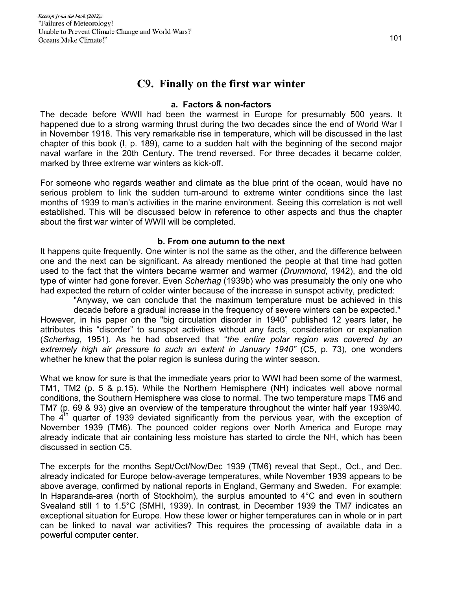# **C9. Finally on the first war winter**

### **a. Factors & non-factors**

The decade before WWII had been the warmest in Europe for presumably 500 years. It happened due to a strong warming thrust during the two decades since the end of World War I in November 1918. This very remarkable rise in temperature, which will be discussed in the last chapter of this book (I, p. 189), came to a sudden halt with the beginning of the second major naval warfare in the 20th Century. The trend reversed. For three decades it became colder, marked by three extreme war winters as kick-off.

For someone who regards weather and climate as the blue print of the ocean, would have no serious problem to link the sudden turn-around to extreme winter conditions since the last months of 1939 to man's activities in the marine environment. Seeing this correlation is not well established. This will be discussed below in reference to other aspects and thus the chapter about the first war winter of WWII will be completed.

## **b. From one autumn to the next**

It happens quite frequently. One winter is not the same as the other, and the difference between one and the next can be significant. As already mentioned the people at that time had gotten used to the fact that the winters became warmer and warmer (*Drummond*, 1942), and the old type of winter had gone forever. Even *Scherhag* (1939b) who was presumably the only one who had expected the return of colder winter because of the increase in sunspot activity, predicted:

"Anyway, we can conclude that the maximum temperature must be achieved in this decade before a gradual increase in the frequency of severe winters can be expected." However, in his paper on the "big circulation disorder in 1940" published 12 years later, he attributes this "disorder" to sunspot activities without any facts, consideration or explanation (*Scherhag*, 1951). As he had observed that "*the entire polar region was covered by an*  extremely high air pressure to such an extent in January 1940" (C5, p. 73), one wonders whether he knew that the polar region is sunless during the winter season.

What we know for sure is that the immediate years prior to WWI had been some of the warmest, TM1, TM2 (p. 5 & p.15). While the Northern Hemisphere (NH) indicates well above normal conditions, the Southern Hemisphere was close to normal. The two temperature maps TM6 and TM7 (p. 69 & 93) give an overview of the temperature throughout the winter half year 1939/40. The  $4<sup>th</sup>$  quarter of 1939 deviated significantly from the pervious year, with the exception of November 1939 (TM6). The pounced colder regions over North America and Europe may already indicate that air containing less moisture has started to circle the NH, which has been discussed in section C5.

The excerpts for the months Sept/Oct/Nov/Dec 1939 (TM6) reveal that Sept., Oct., and Dec. already indicated for Europe below-average temperatures, while November 1939 appears to be above average, confirmed by national reports in England, Germany and Sweden. For example: In Haparanda-area (north of Stockholm), the surplus amounted to  $4^\circ$ C and even in southern Svealand still 1 to 1.5°C (SMHI, 1939). In contrast, in December 1939 the TM7 indicates an exceptional situation for Europe. How these lower or higher temperatures can in whole or in part can be linked to naval war activities? This requires the processing of available data in a powerful computer center.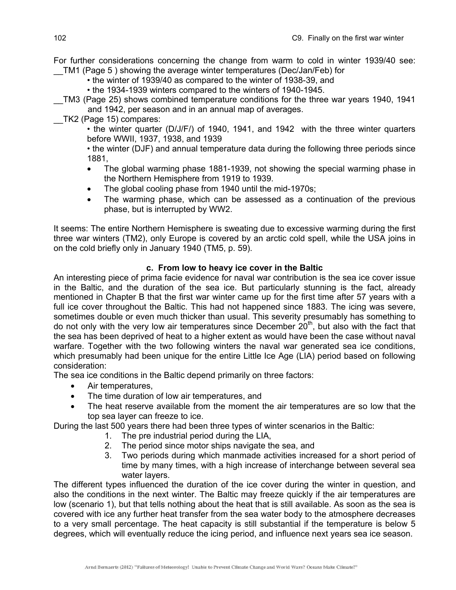For further considerations concerning the change from warm to cold in winter 1939/40 see: \_\_TM1 (Page 5 ) showing the average winter temperatures (Dec/Jan/Feb) for

• the winter of 1939/40 as compared to the winter of 1938-39, and

• the 1934-1939 winters compared to the winters of 1940-1945.

\_\_TM3 (Page 25) shows combined temperature conditions for the three war years 1940, 1941 and 1942, per season and in an annual map of averages.

\_\_TK2 (Page 15) compares:

• the winter quarter (D/J/F/) of 1940, 1941, and 1942 with the three winter quarters before WWII, 1937, 1938, and 1939

• the winter (DJF) and annual temperature data during the following three periods since 1881,

- The global warming phase 1881-1939, not showing the special warming phase in the Northern Hemisphere from 1919 to 1939.
- The global cooling phase from 1940 until the mid-1970s;
- The warming phase, which can be assessed as a continuation of the previous phase, but is interrupted by WW2.

It seems: The entire Northern Hemisphere is sweating due to excessive warming during the first three war winters (TM2), only Europe is covered by an arctic cold spell, while the USA joins in on the cold briefly only in January 1940 (TM5, p. 59).

# **c. From low to heavy ice cover in the Baltic**

An interesting piece of prima facie evidence for naval war contribution is the sea ice cover issue in the Baltic, and the duration of the sea ice. But particularly stunning is the fact, already mentioned in Chapter B that the first war winter came up for the first time after 57 years with a full ice cover throughout the Baltic. This had not happened since 1883. The icing was severe, sometimes double or even much thicker than usual. This severity presumably has something to do not only with the very low air temperatures since December  $20<sup>th</sup>$ , but also with the fact that the sea has been deprived of heat to a higher extent as would have been the case without naval warfare. Together with the two following winters the naval war generated sea ice conditions, which presumably had been unique for the entire Little Ice Age (LIA) period based on following consideration:

The sea ice conditions in the Baltic depend primarily on three factors:

- Air temperatures,
- The time duration of low air temperatures, and
- The heat reserve available from the moment the air temperatures are so low that the top sea layer can freeze to ice.

During the last 500 years there had been three types of winter scenarios in the Baltic:

- 1. The pre industrial period during the LIA,
- 2. The period since motor ships navigate the sea, and
- 3. Two periods during which manmade activities increased for a short period of time by many times, with a high increase of interchange between several sea water layers.

The different types influenced the duration of the ice cover during the winter in question, and also the conditions in the next winter. The Baltic may freeze quickly if the air temperatures are low (scenario 1), but that tells nothing about the heat that is still available. As soon as the sea is covered with ice any further heat transfer from the sea water body to the atmosphere decreases to a very small percentage. The heat capacity is still substantial if the temperature is below 5 degrees, which will eventually reduce the icing period, and influence next years sea ice season.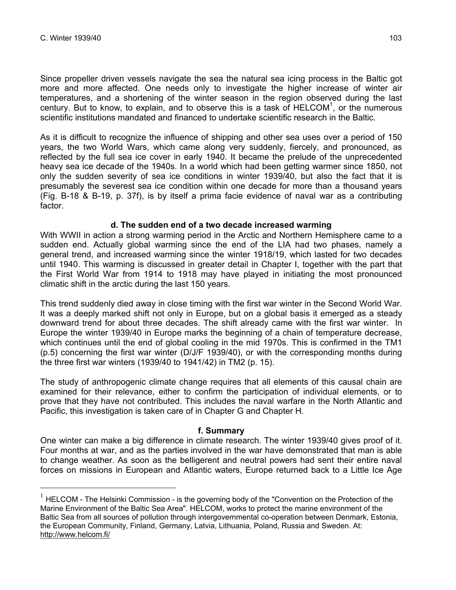$\overline{a}$ 

Since propeller driven vessels navigate the sea the natural sea icing process in the Baltic got more and more affected. One needs only to investigate the higher increase of winter air temperatures, and a shortening of the winter season in the region observed during the last century. But to know, to explain, and to observe this is a task of HELCOM<sup>1</sup>, or the numerous scientific institutions mandated and financed to undertake scientific research in the Baltic.

As it is difficult to recognize the influence of shipping and other sea uses over a period of 150 years, the two World Wars, which came along very suddenly, fiercely, and pronounced, as reflected by the full sea ice cover in early 1940. It became the prelude of the unprecedented heavy sea ice decade of the 1940s. In a world which had been getting warmer since 1850, not only the sudden severity of sea ice conditions in winter 1939/40, but also the fact that it is presumably the severest sea ice condition within one decade for more than a thousand years (Fig. B-18 & B-19, p. 37f), is by itself a prima facie evidence of naval war as a contributing factor.

### **d. The sudden end of a two decade increased warming**

With WWII in action a strong warming period in the Arctic and Northern Hemisphere came to a sudden end. Actually global warming since the end of the LIA had two phases, namely a general trend, and increased warming since the winter 1918/19, which lasted for two decades until 1940. This warming is discussed in greater detail in Chapter I, together with the part that the First World War from 1914 to 1918 may have played in initiating the most pronounced climatic shift in the arctic during the last 150 years.

This trend suddenly died away in close timing with the first war winter in the Second World War. It was a deeply marked shift not only in Europe, but on a global basis it emerged as a steady downward trend for about three decades. The shift already came with the first war winter. In Europe the winter 1939/40 in Europe marks the beginning of a chain of temperature decrease, which continues until the end of global cooling in the mid 1970s. This is confirmed in the TM1 (p.5) concerning the first war winter (D/J/F 1939/40), or with the corresponding months during the three first war winters (1939/40 to 1941/42) in TM2 (p. 15).

The study of anthropogenic climate change requires that all elements of this causal chain are examined for their relevance, either to confirm the participation of individual elements, or to prove that they have not contributed. This includes the naval warfare in the North Atlantic and Pacific, this investigation is taken care of in Chapter G and Chapter H.

## **f. Summary**

One winter can make a big difference in climate research. The winter 1939/40 gives proof of it. Four months at war, and as the parties involved in the war have demonstrated that man is able to change weather. As soon as the belligerent and neutral powers had sent their entire naval forces on missions in European and Atlantic waters, Europe returned back to a Little Ice Age

 $1$  HELCOM - The Helsinki Commission - is the governing body of the "Convention on the Protection of the Marine Environment of the Baltic Sea Area". HELCOM, works to protect the marine environment of the Baltic Sea from all sources of pollution through intergovernmental co-operation between Denmark, Estonia, the European Community, Finland, Germany, Latvia, Lithuania, Poland, Russia and Sweden. At: http://www.helcom.fi/